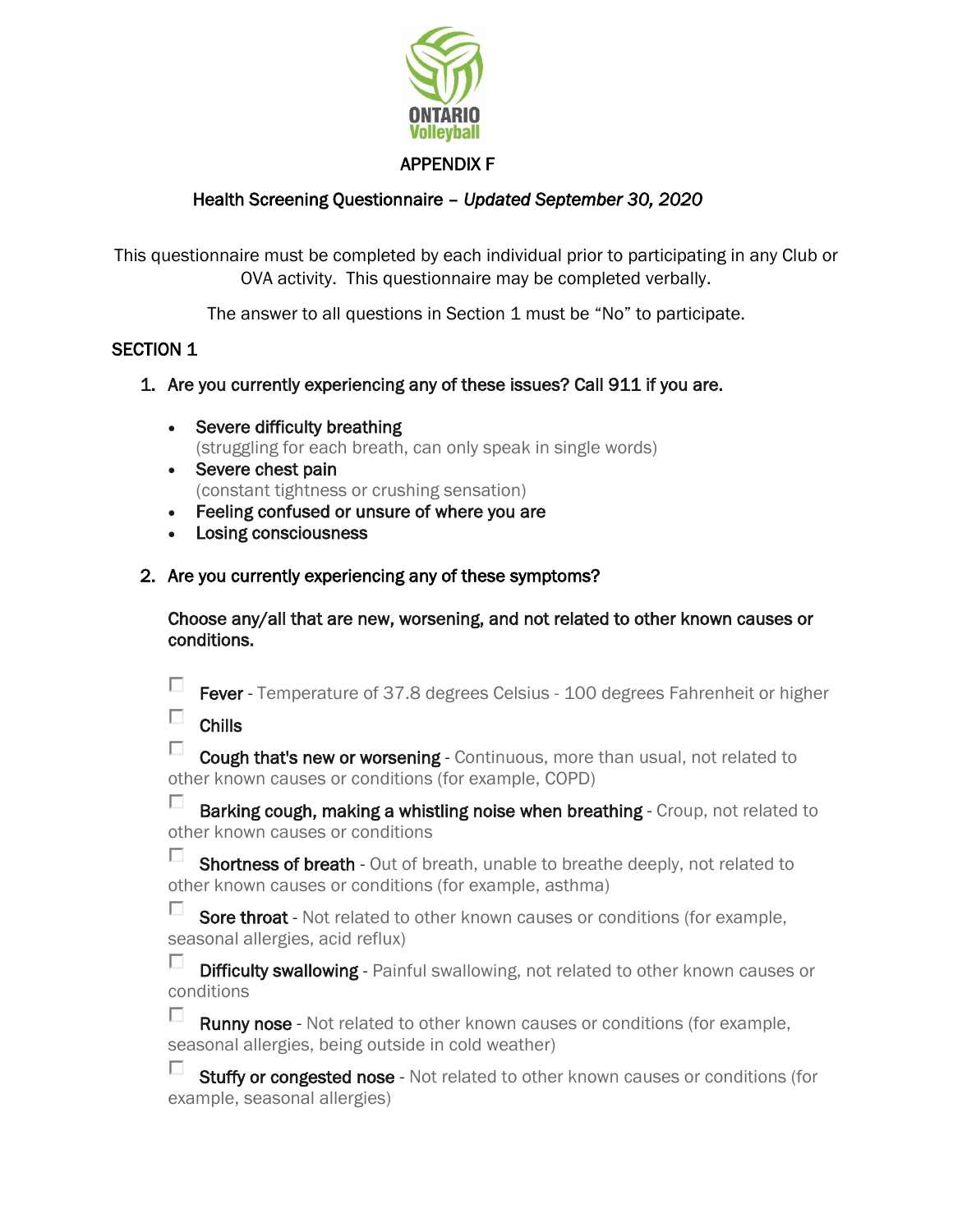

### APPENDIX F

# Health Screening Questionnaire – *Updated September 30, 2020*

This questionnaire must be completed by each individual prior to participating in any Club or OVA activity. This questionnaire may be completed verbally.

The answer to all questions in Section 1 must be "No" to participate.

# SECTION 1

- 1. Are you currently experiencing any of these issues? Call 911 if you are.
	- Severe difficulty breathing (struggling for each breath, can only speak in single words)
	- Severe chest pain (constant tightness or crushing sensation)
	- Feeling confused or unsure of where you are
	- Losing consciousness
- 2. Are you currently experiencing any of these symptoms?

Choose any/all that are new, worsening, and not related to other known causes or conditions.

 $\Box$ Fever - Temperature of 37.8 degrees Celsius - 100 degrees Fahrenheit or higher

 $\Box$ Chills

 $\Box$ Cough that's new or worsening - Continuous, more than usual, not related to other known causes or conditions (for example, COPD)

П. Barking cough, making a whistling noise when breathing - Croup, not related to other known causes or conditions

П Shortness of breath - Out of breath, unable to breathe deeply, not related to other known causes or conditions (for example, asthma)

П. Sore throat - Not related to other known causes or conditions (for example, seasonal allergies, acid reflux)

п. **Difficulty swallowing** - Painful swallowing, not related to other known causes or conditions

П. **Runny nose** - Not related to other known causes or conditions (for example, seasonal allergies, being outside in cold weather)

п. Stuffy or congested nose - Not related to other known causes or conditions (for example, seasonal allergies)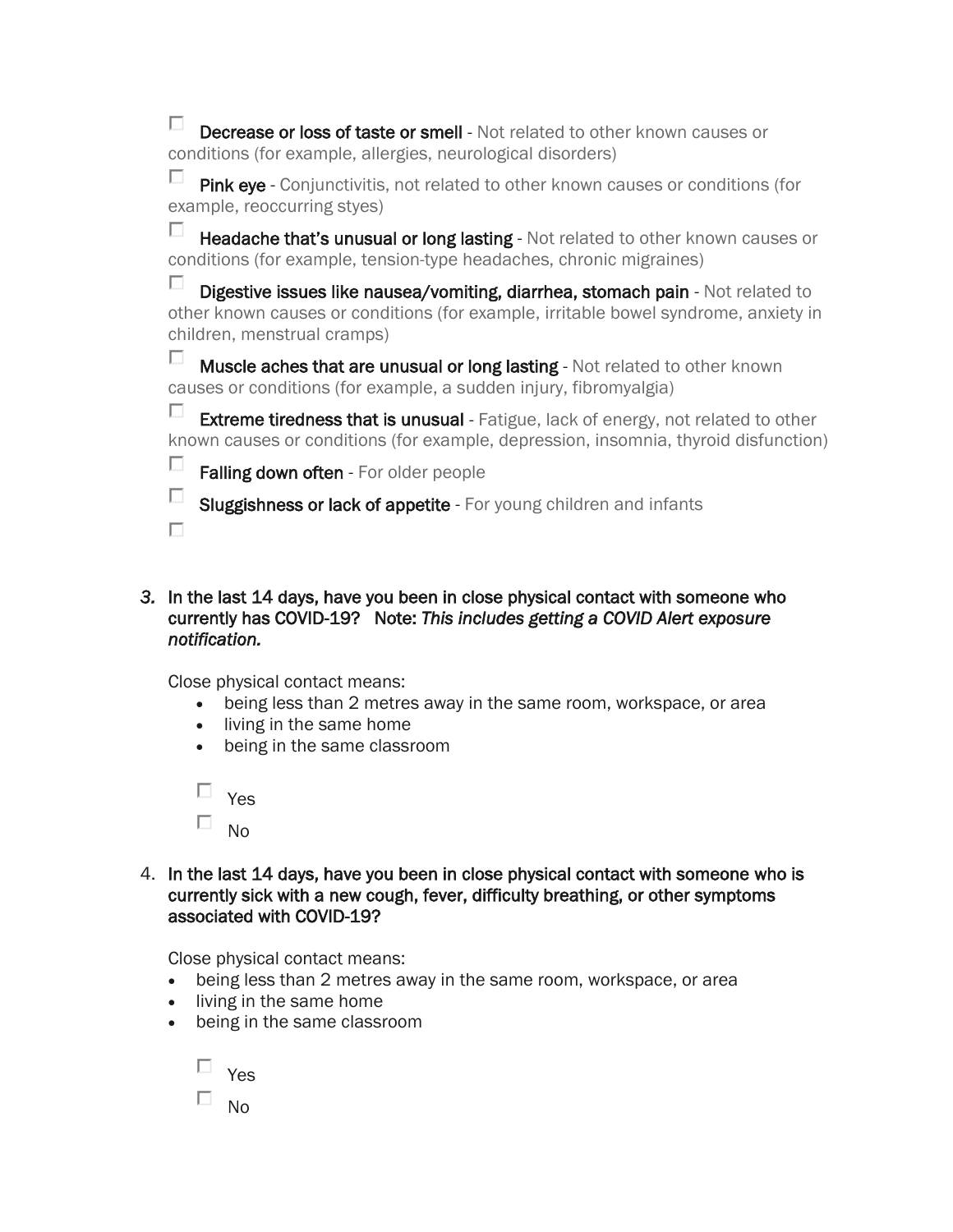П. **Decrease or loss of taste or smell** - Not related to other known causes or conditions (for example, allergies, neurological disorders)

П. Pink eye - Conjunctivitis, not related to other known causes or conditions (for example, reoccurring styes)

П Headache that's unusual or long lasting - Not related to other known causes or conditions (for example, tension-type headaches, chronic migraines)

п Digestive issues like nausea/vomiting, diarrhea, stomach pain - Not related to other known causes or conditions (for example, irritable bowel syndrome, anxiety in children, menstrual cramps)

П. Muscle aches that are unusual or long lasting - Not related to other known causes or conditions (for example, a sudden injury, fibromyalgia)

П **Extreme tiredness that is unusual** - Fatigue, lack of energy, not related to other known causes or conditions (for example, depression, insomnia, thyroid disfunction)

п Falling down often - For older people

 $\Box$ Sluggishness or lack of appetite - For young children and infants

П

### *3.* In the last 14 days, have you been in close physical contact with someone who currently has COVID-19? Note: *This includes getting a COVID Alert exposure notification.*

Close physical contact means:

- being less than 2 metres away in the same room, workspace, or area
- living in the same home
- being in the same classroom

 $\Box$ Yes П. No

4. In the last 14 days, have you been in close physical contact with someone who is currently sick with a new cough, fever, difficulty breathing, or other symptoms associated with COVID-19?

Close physical contact means:

- being less than 2 metres away in the same room, workspace, or area
- living in the same home
- being in the same classroom